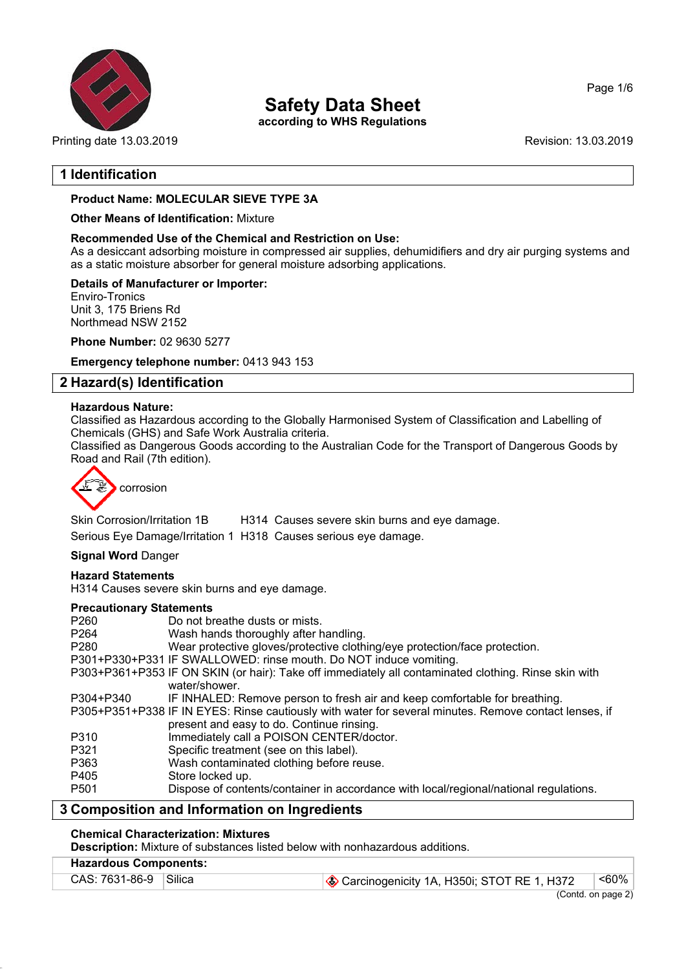

**Safety Data Sheet**

**according to WHS Regulations**

Printing date 13.03.2019 **Revision: 13.03.2019** Revision: 13.03.2019

Page 1/6

## **1 Identification**

## **Product Name: MOLECULAR SIEVE TYPE 3A**

#### **Other Means of Identification:** Mixture

#### **Recommended Use of the Chemical and Restriction on Use:**

As a desiccant adsorbing moisture in compressed air supplies, dehumidifiers and dry air purging systems and as a static moisture absorber for general moisture adsorbing applications.

#### **Details of Manufacturer or Importer:**

Enviro-Tronics Unit 3, 175 Briens Rd Northmead NSW 2152

**Phone Number:** 02 9630 5277

**Emergency telephone number:** 0413 943 153

## **2 Hazard(s) Identification**

#### **Hazardous Nature:**

Classified as Hazardous according to the Globally Harmonised System of Classification and Labelling of Chemicals (GHS) and Safe Work Australia criteria.

Classified as Dangerous Goods according to the Australian Code for the Transport of Dangerous Goods by Road and Rail (7th edition).



Skin Corrosion/Irritation 1B H314 Causes severe skin burns and eye damage. Serious Eye Damage/Irritation 1 H318 Causes serious eye damage.

#### **Signal Word** Danger

#### **Hazard Statements**

H314 Causes severe skin burns and eye damage.

#### **Precautionary Statements**

| Composition and Information on Ingradiants |                                                                                                       |  |
|--------------------------------------------|-------------------------------------------------------------------------------------------------------|--|
| P <sub>501</sub>                           | Dispose of contents/container in accordance with local/regional/national regulations.                 |  |
| P405                                       | Store locked up.                                                                                      |  |
| P363                                       | Wash contaminated clothing before reuse.                                                              |  |
| P321                                       | Specific treatment (see on this label).                                                               |  |
| P310                                       | Immediately call a POISON CENTER/doctor.                                                              |  |
|                                            | present and easy to do. Continue rinsing.                                                             |  |
|                                            | P305+P351+P338 IF IN EYES: Rinse cautiously with water for several minutes. Remove contact lenses, if |  |
| P304+P340                                  | IF INHALED: Remove person to fresh air and keep comfortable for breathing.                            |  |
|                                            | water/shower.                                                                                         |  |
|                                            | P303+P361+P353 IF ON SKIN (or hair): Take off immediately all contaminated clothing. Rinse skin with  |  |
|                                            | P301+P330+P331 IF SWALLOWED: rinse mouth. Do NOT induce vomiting.                                     |  |
| P <sub>280</sub>                           | Wear protective gloves/protective clothing/eye protection/face protection.                            |  |
| P <sub>264</sub>                           | Wash hands thoroughly after handling.                                                                 |  |
| P <sub>260</sub>                           | Do not breathe dusts or mists.                                                                        |  |
|                                            |                                                                                                       |  |

## **3 Composition and Information on Ingredients**

#### **Chemical Characterization: Mixtures**

**Description:** Mixture of substances listed below with nonhazardous additions.

#### **Hazardous Components:**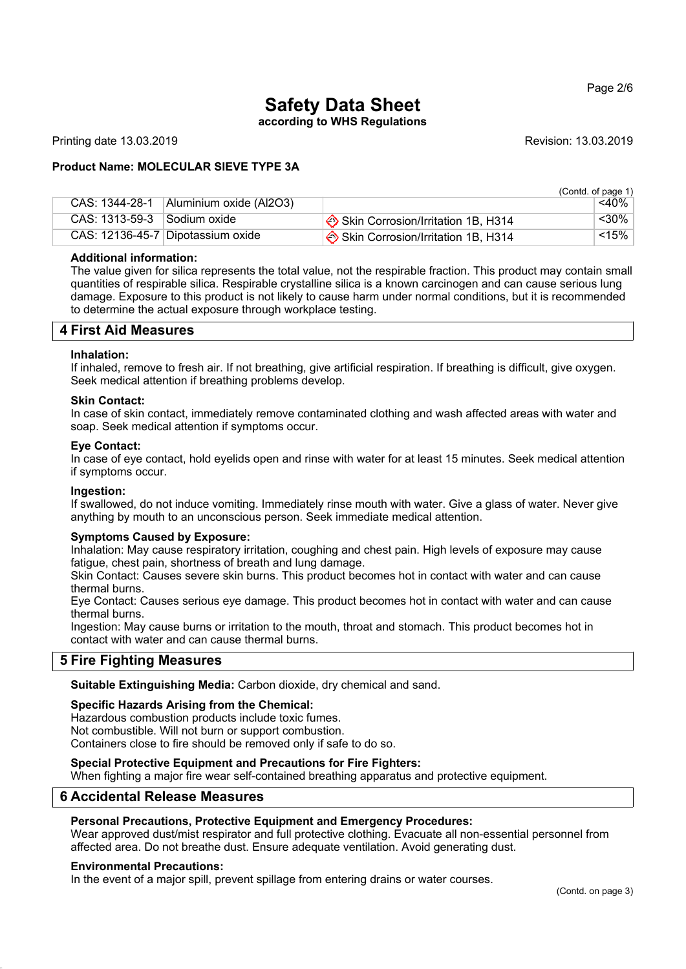#### Page 2/6

# **Safety Data Sheet**

**according to WHS Regulations**

Printing date 13.03.2019 **Revision: 13.03.2019** Revision: 13.03.2019

### **Product Name: MOLECULAR SIEVE TYPE 3A**

|                                             |                                    | (Contd. of page 1) |
|---------------------------------------------|------------------------------------|--------------------|
| CAS: 1344-28-1<br>  Aluminium oxide (Al2O3) |                                    | $<$ 40%            |
| $CAS: 1313-59-3$ Sodium oxide               | Skin Corrosion/Irritation 1B, H314 | $\leq 30\%$        |
| CAS: 12136-45-7 Dipotassium oxide           | Skin Corrosion/Irritation 1B, H314 | $\leq 15\%$        |

#### **Additional information:**

The value given for silica represents the total value, not the respirable fraction. This product may contain small quantities of respirable silica. Respirable crystalline silica is a known carcinogen and can cause serious lung damage. Exposure to this product is not likely to cause harm under normal conditions, but it is recommended to determine the actual exposure through workplace testing.

#### **4 First Aid Measures**

#### **Inhalation:**

If inhaled, remove to fresh air. If not breathing, give artificial respiration. If breathing is difficult, give oxygen. Seek medical attention if breathing problems develop.

#### **Skin Contact:**

In case of skin contact, immediately remove contaminated clothing and wash affected areas with water and soap. Seek medical attention if symptoms occur.

#### **Eye Contact:**

In case of eye contact, hold eyelids open and rinse with water for at least 15 minutes. Seek medical attention if symptoms occur.

#### **Ingestion:**

If swallowed, do not induce vomiting. Immediately rinse mouth with water. Give a glass of water. Never give anything by mouth to an unconscious person. Seek immediate medical attention.

#### **Symptoms Caused by Exposure:**

Inhalation: May cause respiratory irritation, coughing and chest pain. High levels of exposure may cause fatigue, chest pain, shortness of breath and lung damage.

Skin Contact: Causes severe skin burns. This product becomes hot in contact with water and can cause thermal burns.

Eye Contact: Causes serious eye damage. This product becomes hot in contact with water and can cause thermal burns.

Ingestion: May cause burns or irritation to the mouth, throat and stomach. This product becomes hot in contact with water and can cause thermal burns.

#### **5 Fire Fighting Measures**

**Suitable Extinguishing Media:** Carbon dioxide, dry chemical and sand.

#### **Specific Hazards Arising from the Chemical:**

Hazardous combustion products include toxic fumes. Not combustible. Will not burn or support combustion. Containers close to fire should be removed only if safe to do so.

#### **Special Protective Equipment and Precautions for Fire Fighters:**

When fighting a major fire wear self-contained breathing apparatus and protective equipment.

#### **6 Accidental Release Measures**

#### **Personal Precautions, Protective Equipment and Emergency Procedures:**

Wear approved dust/mist respirator and full protective clothing. Evacuate all non-essential personnel from affected area. Do not breathe dust. Ensure adequate ventilation. Avoid generating dust.

#### **Environmental Precautions:**

In the event of a major spill, prevent spillage from entering drains or water courses.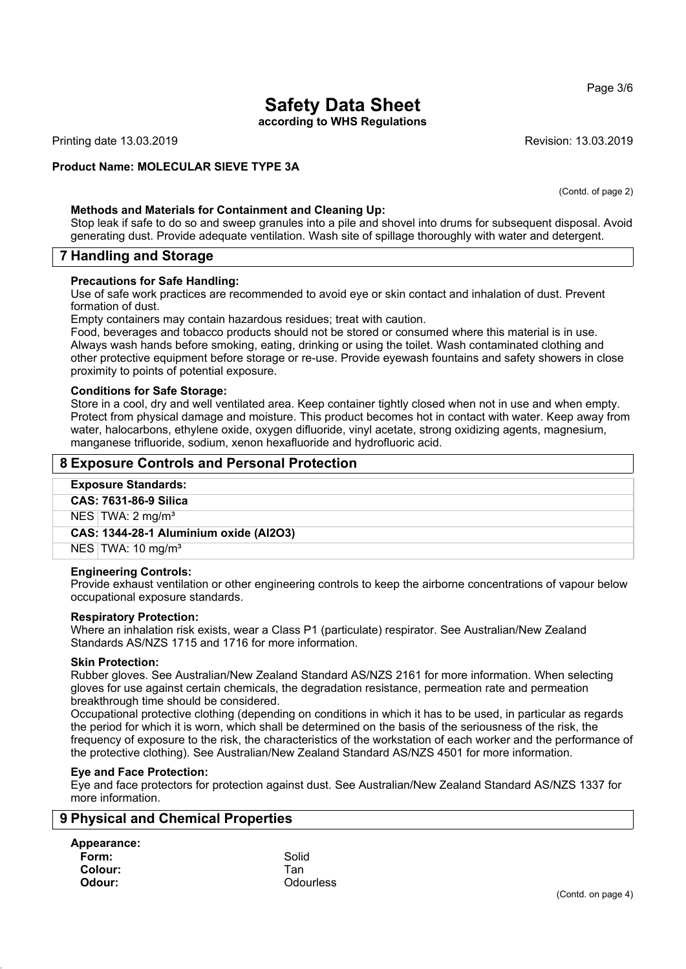Page 3/6

## **Safety Data Sheet**

**according to WHS Regulations**

Printing date 13.03.2019 **Revision: 13.03.2019** Revision: 13.03.2019

#### **Product Name: MOLECULAR SIEVE TYPE 3A**

(Contd. of page 2)

#### **Methods and Materials for Containment and Cleaning Up:**

Stop leak if safe to do so and sweep granules into a pile and shovel into drums for subsequent disposal. Avoid generating dust. Provide adequate ventilation. Wash site of spillage thoroughly with water and detergent.

#### **7 Handling and Storage**

#### **Precautions for Safe Handling:**

Use of safe work practices are recommended to avoid eye or skin contact and inhalation of dust. Prevent formation of dust.

Empty containers may contain hazardous residues; treat with caution.

Food, beverages and tobacco products should not be stored or consumed where this material is in use. Always wash hands before smoking, eating, drinking or using the toilet. Wash contaminated clothing and other protective equipment before storage or re-use. Provide eyewash fountains and safety showers in close proximity to points of potential exposure.

#### **Conditions for Safe Storage:**

Store in a cool, dry and well ventilated area. Keep container tightly closed when not in use and when empty. Protect from physical damage and moisture. This product becomes hot in contact with water. Keep away from water, halocarbons, ethylene oxide, oxygen difluoride, vinyl acetate, strong oxidizing agents, magnesium, manganese trifluoride, sodium, xenon hexafluoride and hydrofluoric acid.

## **8 Exposure Controls and Personal Protection**

| <u>, evaluations and and reading respective</u> |                                        |
|-------------------------------------------------|----------------------------------------|
|                                                 | <b>Exposure Standards:</b>             |
|                                                 | CAS: 7631-86-9 Silica                  |
|                                                 | NES TWA: $2 \text{ mg/m}^3$            |
|                                                 | CAS: 1344-28-1 Aluminium oxide (Al2O3) |
|                                                 | NES $\text{TWA: } 10 \text{ mg/m}^3$   |

#### **Engineering Controls:**

Provide exhaust ventilation or other engineering controls to keep the airborne concentrations of vapour below occupational exposure standards.

#### **Respiratory Protection:**

Where an inhalation risk exists, wear a Class P1 (particulate) respirator. See Australian/New Zealand Standards AS/NZS 1715 and 1716 for more information.

#### **Skin Protection:**

Rubber gloves. See Australian/New Zealand Standard AS/NZS 2161 for more information. When selecting gloves for use against certain chemicals, the degradation resistance, permeation rate and permeation breakthrough time should be considered.

Occupational protective clothing (depending on conditions in which it has to be used, in particular as regards the period for which it is worn, which shall be determined on the basis of the seriousness of the risk, the frequency of exposure to the risk, the characteristics of the workstation of each worker and the performance of the protective clothing). See Australian/New Zealand Standard AS/NZS 4501 for more information.

#### **Eye and Face Protection:**

Eye and face protectors for protection against dust. See Australian/New Zealand Standard AS/NZS 1337 for more information.

| 9 Physical and Chemical Properties |  |  |
|------------------------------------|--|--|
|------------------------------------|--|--|

#### **Appearance:** Form: Solid **Colour:** Tan

**Odour:** Odourless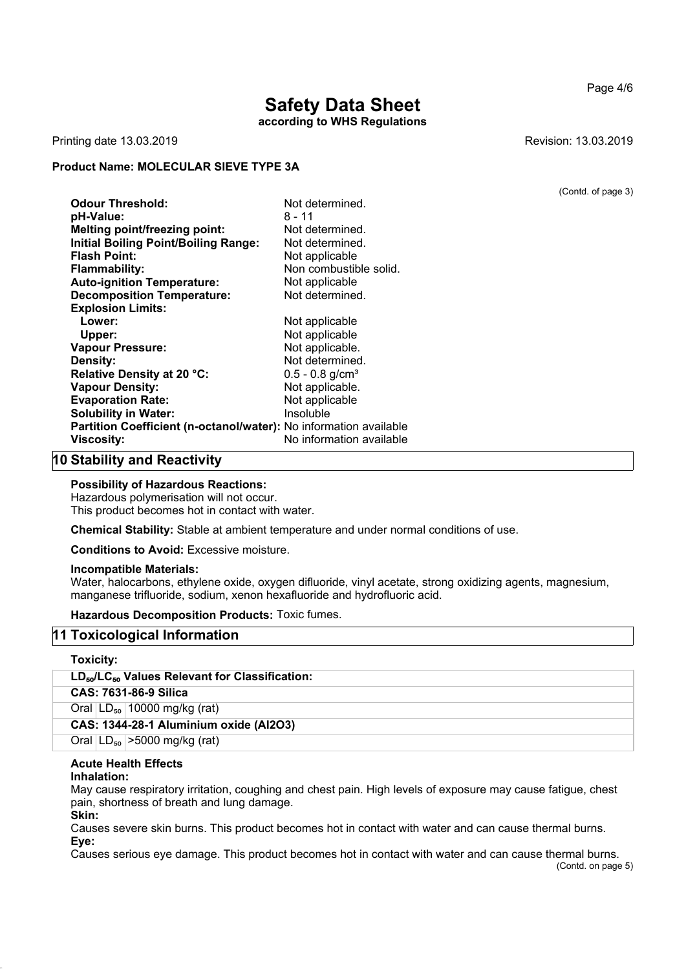## **Safety Data Sheet according to WHS Regulations**

Printing date 13.03.2019 Revision: 13.03.2019

#### **Product Name: MOLECULAR SIEVE TYPE 3A**

| Odour Threshold:                                                  | Not determined.               |
|-------------------------------------------------------------------|-------------------------------|
| pH-Value:                                                         | 8 - 11                        |
| Melting point/freezing point:                                     | Not determined.               |
| <b>Initial Boiling Point/Boiling Range:</b>                       | Not determined.               |
| <b>Flash Point:</b>                                               | Not applicable                |
| Flammability:                                                     | Non combustible solid.        |
| <b>Auto-ignition Temperature:</b>                                 | Not applicable                |
| <b>Decomposition Temperature:</b>                                 | Not determined.               |
| <b>Explosion Limits:</b>                                          |                               |
| Lower:                                                            | Not applicable                |
| Upper:                                                            | Not applicable                |
| Vapour Pressure:                                                  | Not applicable.               |
| <b>Density:</b>                                                   | Not determined.               |
| Relative Density at 20 °C:                                        | $0.5 - 0.8$ g/cm <sup>3</sup> |
| <b>Vapour Density:</b>                                            | Not applicable.               |
| <b>Evaporation Rate:</b>                                          | Not applicable                |
| <b>Solubility in Water:</b>                                       | Insoluble                     |
| Partition Coefficient (n-octanol/water): No information available |                               |
| Viscosity:                                                        | No information available      |
| Ctability and Danativity                                          |                               |

## **10 Stability and Reactivity**

#### **Possibility of Hazardous Reactions:**

Hazardous polymerisation will not occur. This product becomes hot in contact with water.

**Chemical Stability:** Stable at ambient temperature and under normal conditions of use.

**Conditions to Avoid:** Excessive moisture.

#### **Incompatible Materials:**

Water, halocarbons, ethylene oxide, oxygen difluoride, vinyl acetate, strong oxidizing agents, magnesium, manganese trifluoride, sodium, xenon hexafluoride and hydrofluoric acid.

**Hazardous Decomposition Products:** Toxic fumes.

| 11 Toxicological Information                                           |  |
|------------------------------------------------------------------------|--|
| Toxicity:                                                              |  |
| LD <sub>50</sub> /LC <sub>50</sub> Values Relevant for Classification: |  |
| CAS: 7631-86-9 Silica                                                  |  |
| Oral $ LD_{50} $ 10000 mg/kg (rat)                                     |  |
| CAS: 1344-28-1 Aluminium oxide (Al2O3)                                 |  |

Oral  $|LD_{50}|$  >5000 mg/kg (rat)

#### **Acute Health Effects Inhalation:**

May cause respiratory irritation, coughing and chest pain. High levels of exposure may cause fatigue, chest pain, shortness of breath and lung damage.

**Skin:**

Causes severe skin burns. This product becomes hot in contact with water and can cause thermal burns. **Eye:**

Causes serious eye damage. This product becomes hot in contact with water and can cause thermal burns. (Contd. on page 5)

Page 4/6

(Contd. of page 3)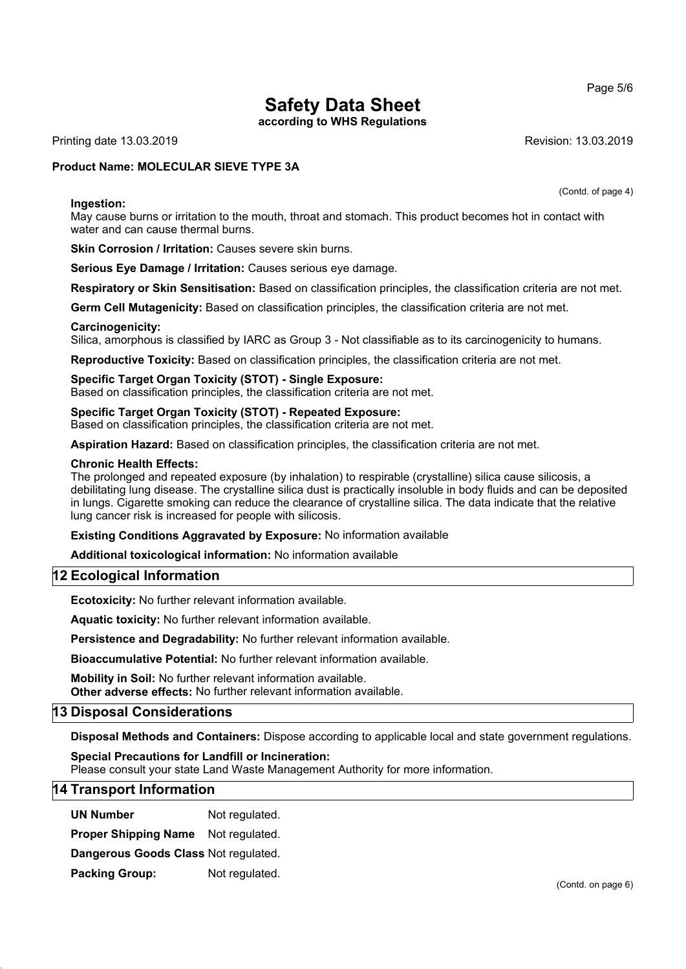## **Safety Data Sheet**

**according to WHS Regulations**

Printing date 13.03.2019 **Revision: 13.03.2019** Revision: 13.03.2019

#### **Product Name: MOLECULAR SIEVE TYPE 3A**

#### **Ingestion:**

May cause burns or irritation to the mouth, throat and stomach. This product becomes hot in contact with water and can cause thermal burns.

**Skin Corrosion / Irritation:** Causes severe skin burns.

**Serious Eye Damage / Irritation:** Causes serious eye damage.

**Respiratory or Skin Sensitisation:** Based on classification principles, the classification criteria are not met.

**Germ Cell Mutagenicity:** Based on classification principles, the classification criteria are not met.

#### **Carcinogenicity:**

Silica, amorphous is classified by IARC as Group 3 - Not classifiable as to its carcinogenicity to humans.

**Reproductive Toxicity:** Based on classification principles, the classification criteria are not met.

#### **Specific Target Organ Toxicity (STOT) - Single Exposure:** Based on classification principles, the classification criteria are not met.

#### **Specific Target Organ Toxicity (STOT) - Repeated Exposure:**

Based on classification principles, the classification criteria are not met.

**Aspiration Hazard:** Based on classification principles, the classification criteria are not met.

#### **Chronic Health Effects:**

The prolonged and repeated exposure (by inhalation) to respirable (crystalline) silica cause silicosis, a debilitating lung disease. The crystalline silica dust is practically insoluble in body fluids and can be deposited in lungs. Cigarette smoking can reduce the clearance of crystalline silica. The data indicate that the relative lung cancer risk is increased for people with silicosis.

**Existing Conditions Aggravated by Exposure:** No information available

**Additional toxicological information:** No information available

#### **12 Ecological Information**

**Ecotoxicity:** No further relevant information available.

**Aquatic toxicity:** No further relevant information available.

**Persistence and Degradability:** No further relevant information available.

**Bioaccumulative Potential:** No further relevant information available.

**Mobility in Soil:** No further relevant information available. **Other adverse effects:** No further relevant information available.

### **13 Disposal Considerations**

**Disposal Methods and Containers:** Dispose according to applicable local and state government regulations.

**Special Precautions for Landfill or Incineration:**

Please consult your state Land Waste Management Authority for more information.

#### **14 Transport Information**

**UN Number** Not regulated. **Proper Shipping Name** Not regulated. **Dangerous Goods Class** Not regulated. **Packing Group:** Not regulated. Page 5/6

(Contd. of page 4)